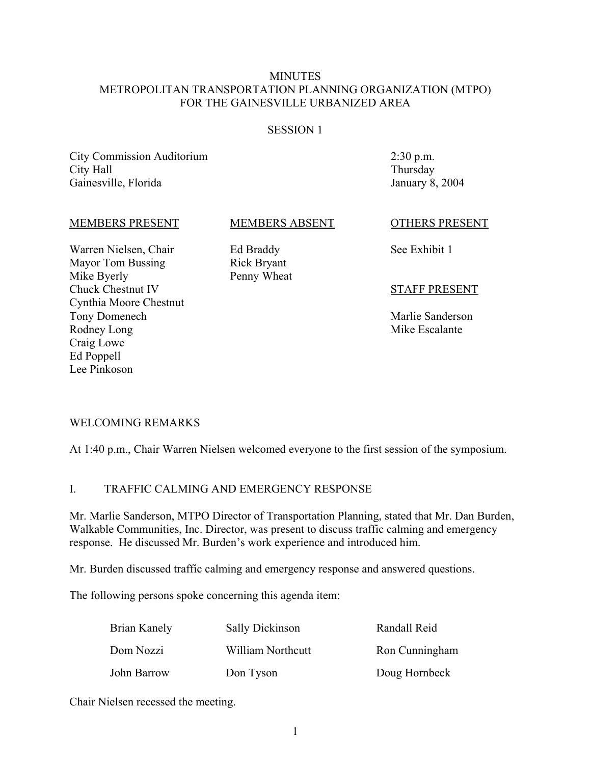### **MINUTES** METROPOLITAN TRANSPORTATION PLANNING ORGANIZATION (MTPO) FOR THE GAINESVILLE URBANIZED AREA

#### SESSION 1

City Commission Auditorium City Hall Gainesville, Florida

2:30 p.m. Thursday January 8, 2004

#### MEMBERS PRESENT

#### MEMBERS ABSENT

Warren Nielsen, Chair Mayor Tom Bussing Mike Byerly Chuck Chestnut IV Cynthia Moore Chestnut Tony Domenech Rodney Long Craig Lowe Ed Poppell Lee Pinkoson

Ed Braddy Rick Bryant Penny Wheat OTHERS PRESENT

See Exhibit 1

#### STAFF PRESENT

Marlie Sanderson Mike Escalante

#### WELCOMING REMARKS

At 1:40 p.m., Chair Warren Nielsen welcomed everyone to the first session of the symposium.

### I. TRAFFIC CALMING AND EMERGENCY RESPONSE

Mr. Marlie Sanderson, MTPO Director of Transportation Planning, stated that Mr. Dan Burden, Walkable Communities, Inc. Director, was present to discuss traffic calming and emergency response. He discussed Mr. Burden's work experience and introduced him.

Mr. Burden discussed traffic calming and emergency response and answered questions.

The following persons spoke concerning this agenda item:

| Brian Kanely | Sally Dickinson   | Randall Reid   |
|--------------|-------------------|----------------|
| Dom Nozzi    | William Northcutt | Ron Cunningham |
| John Barrow  | Don Tyson         | Doug Hornbeck  |

Chair Nielsen recessed the meeting.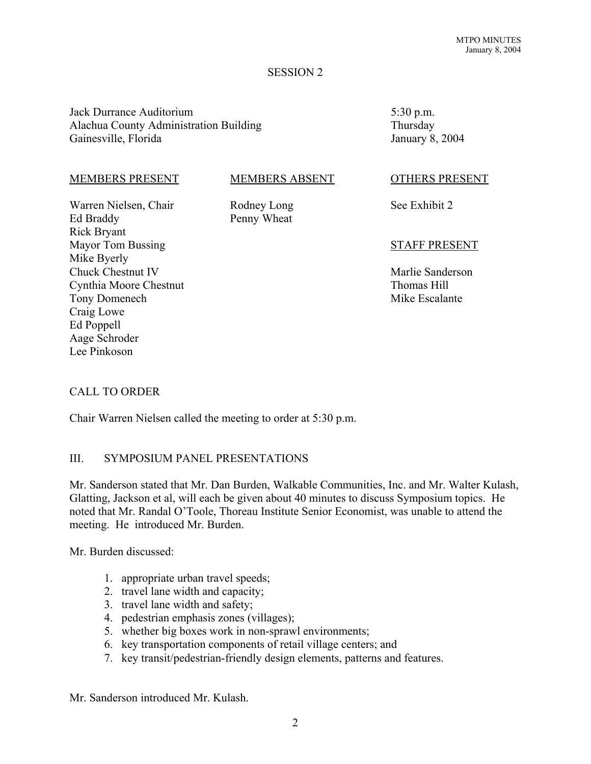#### SESSION 2

Jack Durrance Auditorium Alachua County Administration Building Gainesville, Florida

#### MEMBERS PRESENT

#### MEMBERS ABSENT

Warren Nielsen, Chair Ed Braddy Rick Bryant Mayor Tom Bussing Mike Byerly Chuck Chestnut IV Cynthia Moore Chestnut Tony Domenech Craig Lowe Ed Poppell Aage Schroder Lee Pinkoson

Rodney Long Penny Wheat

5:30 p.m. Thursday January 8, 2004

#### OTHERS PRESENT

See Exhibit 2

#### STAFF PRESENT

Marlie Sanderson Thomas Hill Mike Escalante

#### CALL TO ORDER

Chair Warren Nielsen called the meeting to order at 5:30 p.m.

#### III. SYMPOSIUM PANEL PRESENTATIONS

Mr. Sanderson stated that Mr. Dan Burden, Walkable Communities, Inc. and Mr. Walter Kulash, Glatting, Jackson et al, will each be given about 40 minutes to discuss Symposium topics. He noted that Mr. Randal O'Toole, Thoreau Institute Senior Economist, was unable to attend the meeting. He introduced Mr. Burden.

Mr. Burden discussed:

- 1. appropriate urban travel speeds;
- 2. travel lane width and capacity;
- 3. travel lane width and safety;
- 4. pedestrian emphasis zones (villages);
- 5. whether big boxes work in non-sprawl environments;
- 6. key transportation components of retail village centers; and
- 7. key transit/pedestrian-friendly design elements, patterns and features.

Mr. Sanderson introduced Mr. Kulash.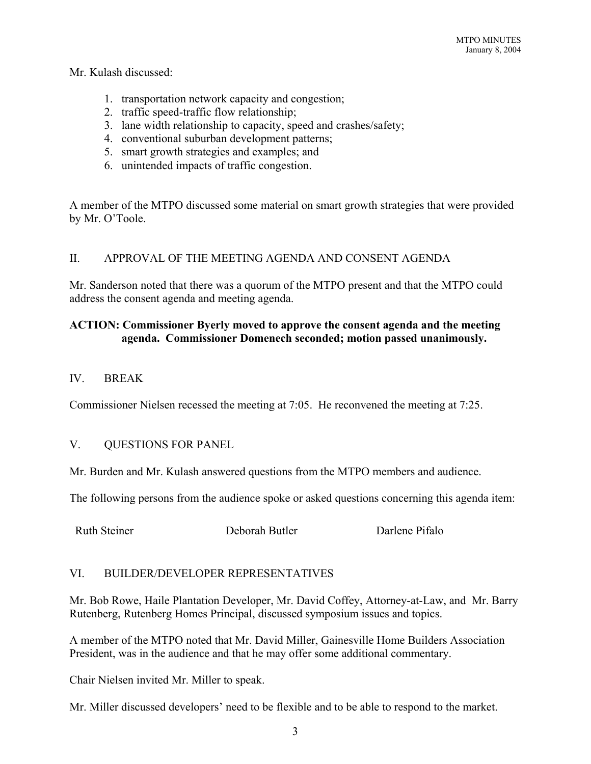#### Mr. Kulash discussed:

- 1. transportation network capacity and congestion;
- 2. traffic speed-traffic flow relationship;
- 3. lane width relationship to capacity, speed and crashes/safety;
- 4. conventional suburban development patterns;
- 5. smart growth strategies and examples; and
- 6. unintended impacts of traffic congestion.

A member of the MTPO discussed some material on smart growth strategies that were provided by Mr. O'Toole.

## II. APPROVAL OF THE MEETING AGENDA AND CONSENT AGENDA

Mr. Sanderson noted that there was a quorum of the MTPO present and that the MTPO could address the consent agenda and meeting agenda.

## **ACTION: Commissioner Byerly moved to approve the consent agenda and the meeting agenda. Commissioner Domenech seconded; motion passed unanimously.**

## IV BREAK

Commissioner Nielsen recessed the meeting at 7:05. He reconvened the meeting at 7:25.

#### V. QUESTIONS FOR PANEL

Mr. Burden and Mr. Kulash answered questions from the MTPO members and audience.

The following persons from the audience spoke or asked questions concerning this agenda item:

Ruth Steiner Deborah Butler Darlene Pifalo

#### VI. BUILDER/DEVELOPER REPRESENTATIVES

Mr. Bob Rowe, Haile Plantation Developer, Mr. David Coffey, Attorney-at-Law, and Mr. Barry Rutenberg, Rutenberg Homes Principal, discussed symposium issues and topics.

A member of the MTPO noted that Mr. David Miller, Gainesville Home Builders Association President, was in the audience and that he may offer some additional commentary.

Chair Nielsen invited Mr. Miller to speak.

Mr. Miller discussed developers' need to be flexible and to be able to respond to the market.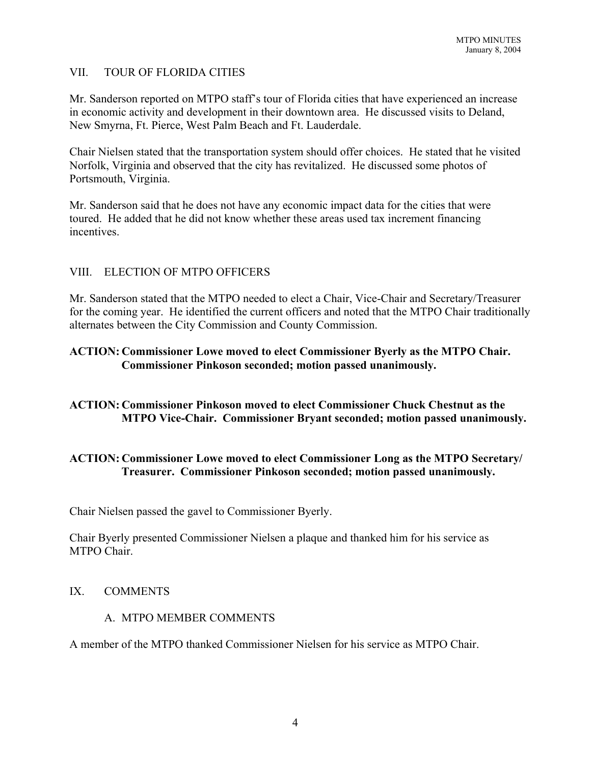## VII. TOUR OF FLORIDA CITIES

Mr. Sanderson reported on MTPO staff's tour of Florida cities that have experienced an increase in economic activity and development in their downtown area. He discussed visits to Deland, New Smyrna, Ft. Pierce, West Palm Beach and Ft. Lauderdale.

Chair Nielsen stated that the transportation system should offer choices. He stated that he visited Norfolk, Virginia and observed that the city has revitalized. He discussed some photos of Portsmouth, Virginia.

Mr. Sanderson said that he does not have any economic impact data for the cities that were toured. He added that he did not know whether these areas used tax increment financing incentives.

## VIII. ELECTION OF MTPO OFFICERS

Mr. Sanderson stated that the MTPO needed to elect a Chair, Vice-Chair and Secretary/Treasurer for the coming year. He identified the current officers and noted that the MTPO Chair traditionally alternates between the City Commission and County Commission.

# **ACTION: Commissioner Lowe moved to elect Commissioner Byerly as the MTPO Chair. Commissioner Pinkoson seconded; motion passed unanimously.**

## **ACTION: Commissioner Pinkoson moved to elect Commissioner Chuck Chestnut as the MTPO Vice-Chair. Commissioner Bryant seconded; motion passed unanimously.**

## **ACTION: Commissioner Lowe moved to elect Commissioner Long as the MTPO Secretary/ Treasurer. Commissioner Pinkoson seconded; motion passed unanimously.**

Chair Nielsen passed the gavel to Commissioner Byerly.

Chair Byerly presented Commissioner Nielsen a plaque and thanked him for his service as MTPO Chair.

#### IX. COMMENTS

### A. MTPO MEMBER COMMENTS

A member of the MTPO thanked Commissioner Nielsen for his service as MTPO Chair.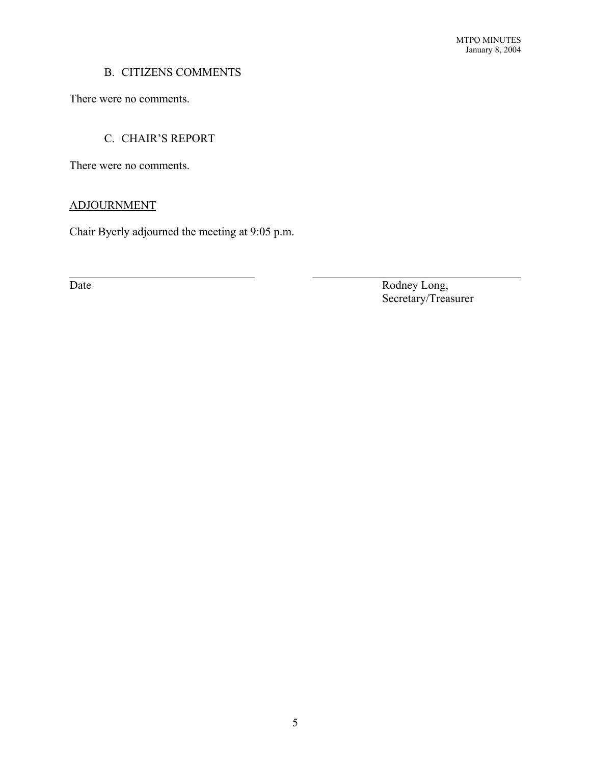# B. CITIZENS COMMENTS

There were no comments.

# C. CHAIR'S REPORT

There were no comments.

# ADJOURNMENT

Chair Byerly adjourned the meeting at 9:05 p.m.

Date Rodney Long, Secretary/Treasurer

 $\mathcal{L}_\text{max}$  , and the contribution of the contribution of the contribution of the contribution of the contribution of the contribution of the contribution of the contribution of the contribution of the contribution of t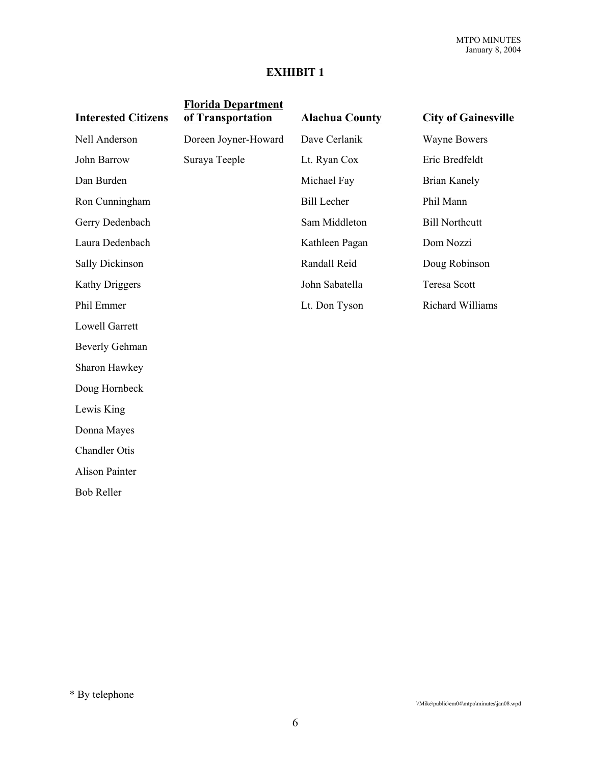# **EXHIBIT 1**

| <b>Interested Citizens</b> | <b>Florida Department</b><br>of Transportation | <b>Alachua County</b> | <b>City of Gainesville</b> |
|----------------------------|------------------------------------------------|-----------------------|----------------------------|
| Nell Anderson              | Doreen Joyner-Howard                           | Dave Cerlanik         | <b>Wayne Bowers</b>        |
| John Barrow                | Suraya Teeple                                  | Lt. Ryan Cox          | Eric Bredfeldt             |
| Dan Burden                 |                                                | Michael Fay           | <b>Brian Kanely</b>        |
| Ron Cunningham             |                                                | <b>Bill Lecher</b>    | Phil Mann                  |
| Gerry Dedenbach            |                                                | Sam Middleton         | <b>Bill Northcutt</b>      |
| Laura Dedenbach            |                                                | Kathleen Pagan        | Dom Nozzi                  |
| <b>Sally Dickinson</b>     |                                                | Randall Reid          | Doug Robinson              |
| <b>Kathy Driggers</b>      |                                                | John Sabatella        | <b>Teresa Scott</b>        |
| Phil Emmer                 |                                                | Lt. Don Tyson         | <b>Richard Williams</b>    |
| <b>Lowell Garrett</b>      |                                                |                       |                            |
| <b>Beverly Gehman</b>      |                                                |                       |                            |
| Sharon Hawkey              |                                                |                       |                            |
| Doug Hornbeck              |                                                |                       |                            |
| Lewis King                 |                                                |                       |                            |
| Donna Mayes                |                                                |                       |                            |
| <b>Chandler Otis</b>       |                                                |                       |                            |
| <b>Alison Painter</b>      |                                                |                       |                            |
| <b>Bob Reller</b>          |                                                |                       |                            |

\* By telephone

\\Mike\public\em04\mtpo\minutes\jan08.wpd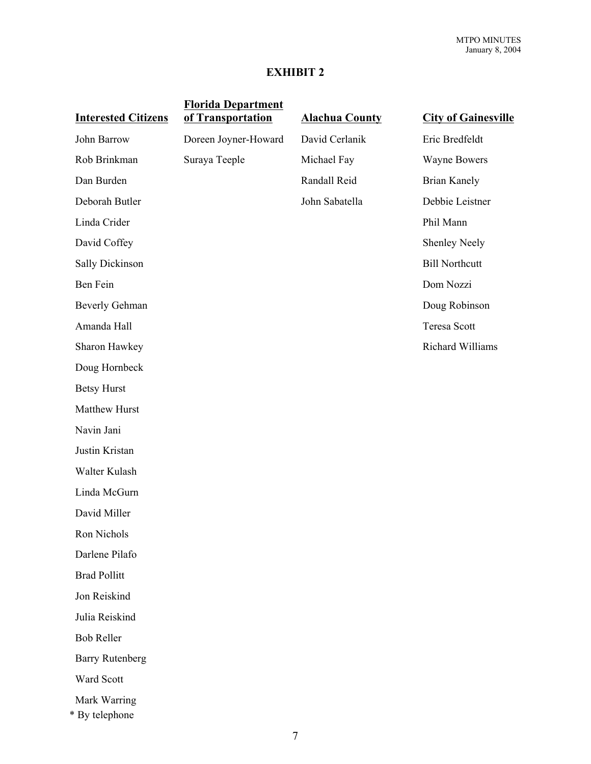# **EXHIBIT 2**

| <b>Interested Citizens</b>     | <b>Florida Department</b><br>of Transportation | <b>Alachua County</b> | <b>City of Gainesville</b> |
|--------------------------------|------------------------------------------------|-----------------------|----------------------------|
| John Barrow                    | Doreen Joyner-Howard                           | David Cerlanik        | Eric Bredfeldt             |
| Rob Brinkman                   | Suraya Teeple                                  | Michael Fay           | <b>Wayne Bowers</b>        |
| Dan Burden                     |                                                | Randall Reid          | <b>Brian Kanely</b>        |
| Deborah Butler                 |                                                | John Sabatella        | Debbie Leistner            |
| Linda Crider                   |                                                |                       | Phil Mann                  |
| David Coffey                   |                                                |                       | <b>Shenley Neely</b>       |
| <b>Sally Dickinson</b>         |                                                |                       | <b>Bill Northcutt</b>      |
| Ben Fein                       |                                                |                       | Dom Nozzi                  |
| <b>Beverly Gehman</b>          |                                                |                       | Doug Robinson              |
| Amanda Hall                    |                                                |                       | <b>Teresa Scott</b>        |
| Sharon Hawkey                  |                                                |                       | Richard Williams           |
| Doug Hornbeck                  |                                                |                       |                            |
| <b>Betsy Hurst</b>             |                                                |                       |                            |
| Matthew Hurst                  |                                                |                       |                            |
| Navin Jani                     |                                                |                       |                            |
| Justin Kristan                 |                                                |                       |                            |
| Walter Kulash                  |                                                |                       |                            |
| Linda McGurn                   |                                                |                       |                            |
| David Miller                   |                                                |                       |                            |
| Ron Nichols                    |                                                |                       |                            |
| Darlene Pilafo                 |                                                |                       |                            |
| <b>Brad Pollitt</b>            |                                                |                       |                            |
| Jon Reiskind                   |                                                |                       |                            |
| Julia Reiskind                 |                                                |                       |                            |
| <b>Bob Reller</b>              |                                                |                       |                            |
| <b>Barry Rutenberg</b>         |                                                |                       |                            |
| Ward Scott                     |                                                |                       |                            |
| Mark Warring<br>* By telephone |                                                |                       |                            |